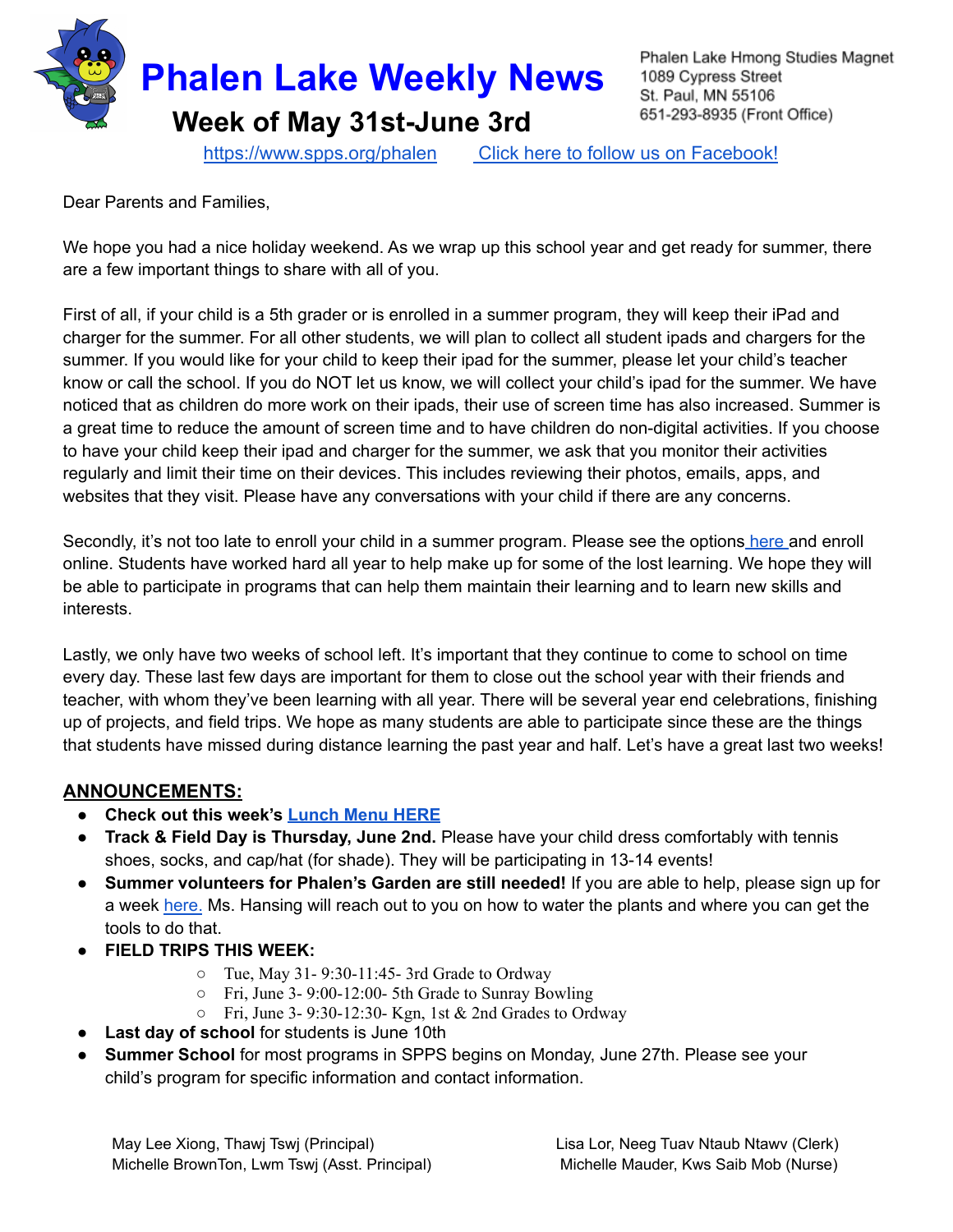

Phalen Lake Hmong Studies Magnet 1089 Cypress Street St. Paul, MN 55106 651-293-8935 (Front Office)

<https://www.spps.org/phalen> Click [here to follow us on Facebook!](https://www.facebook.com/phalenlakehmongstudies/)

Dear Parents and Families,

We hope you had a nice holiday weekend. As we wrap up this school year and get ready for summer, there are a few important things to share with all of you.

First of all, if your child is a 5th grader or is enrolled in a summer program, they will keep their iPad and charger for the summer. For all other students, we will plan to collect all student ipads and chargers for the summer. If you would like for your child to keep their ipad for the summer, please let your child's teacher know or call the school. If you do NOT let us know, we will collect your child's ipad for the summer. We have noticed that as children do more work on their ipads, their use of screen time has also increased. Summer is a great time to reduce the amount of screen time and to have children do non-digital activities. If you choose to have your child keep their ipad and charger for the summer, we ask that you monitor their activities regularly and limit their time on their devices. This includes reviewing their photos, emails, apps, and websites that they visit. Please have any conversations with your child if there are any concerns.

Secondly, it's not too late to enroll your child in a summer program. Please see the options [here](https://www.spps.org/Domain/12604) and enroll online. Students have worked hard all year to help make up for some of the lost learning. We hope they will be able to participate in programs that can help them maintain their learning and to learn new skills and interests.

Lastly, we only have two weeks of school left. It's important that they continue to come to school on time every day. These last few days are important for them to close out the school year with their friends and teacher, with whom they've been learning with all year. There will be several year end celebrations, finishing up of projects, and field trips. We hope as many students are able to participate since these are the things that students have missed during distance learning the past year and half. Let's have a great last two weeks!

## **ANNOUNCEMENTS:**

- **● Check out this week's [Lunch](https://drive.google.com/file/d/1hLRlfgiO7cWnDZ3--e-vC__kILXgw4_y/view?usp=sharing) Menu HERE**
- **● Track & Field Day is Thursday, June 2nd.** Please have your child dress comfortably with tennis shoes, socks, and cap/hat (for shade). They will be participating in 13-14 events!
- **● Summer volunteers for Phalen's Garden are still needed!** If you are able to help, please sign up for a week [here.](https://www.signupgenius.com/go/20f044dadaf2fa7fa7-phalen1) Ms. Hansing will reach out to you on how to water the plants and where you can get the tools to do that.
- **● FIELD TRIPS THIS WEEK:**
	- Tue, May 31- 9:30-11:45- 3rd Grade to Ordway
	- Fri, June 3- 9:00-12:00- 5th Grade to Sunray Bowling
	- $\circ$  Fri, June 3-9:30-12:30- Kgn, 1st & 2nd Grades to Ordway
- **Last day of school** for students is June 10th
- **Summer School** for most programs in SPPS begins on Monday, June 27th. Please see your child's program for specific information and contact information.